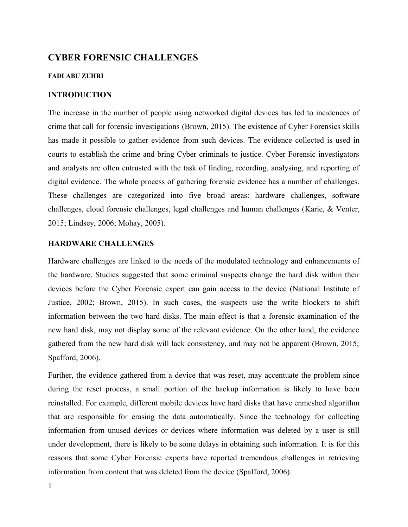# **CYBER FORENSIC CHALLENGES**

#### **FADI ABU ZUHRI**

# **INTRODUCTION**

The increase in the number of people using networked digital devices has led to incidences of crime that call for forensic investigations (Brown, 2015). The existence of Cyber Forensics skills has made it possible to gather evidence from such devices. The evidence collected is used in courts to establish the crime and bring Cyber criminals to justice. Cyber Forensic investigators and analysts are often entrusted with the task of finding, recording, analysing, and reporting of digital evidence. The whole process of gathering forensic evidence has a number of challenges. These challenges are categorized into five broad areas: hardware challenges, software challenges, cloud forensic challenges, legal challenges and human challenges (Karie, & Venter, 2015; Lindsey, 2006; Mohay, 2005).

# **HARDWARE CHALLENGES**

Hardware challenges are linked to the needs of the modulated technology and enhancements of the hardware. Studies suggested that some criminal suspects change the hard disk within their devices before the Cyber Forensic expert can gain access to the device (National Institute of Justice, 2002; Brown, 2015). In such cases, the suspects use the write blockers to shift information between the two hard disks. The main effect is that a forensic examination of the new hard disk, may not display some of the relevant evidence. On the other hand, the evidence gathered from the new hard disk will lack consistency, and may not be apparent (Brown, 2015; Spafford, 2006).

Further, the evidence gathered from a device that was reset, may accentuate the problem since during the reset process, a small portion of the backup information is likely to have been reinstalled. For example, different mobile devices have hard disks that have enmeshed algorithm that are responsible for erasing the data automatically. Since the technology for collecting information from unused devices or devices where information was deleted by a user is still under development, there is likely to be some delays in obtaining such information. It is for this reasons that some Cyber Forensic experts have reported tremendous challenges in retrieving information from content that was deleted from the device (Spafford, 2006).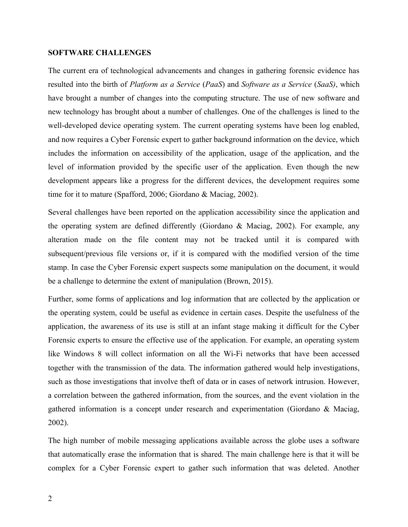# **SOFTWARE CHALLENGES**

The current era of technological advancements and changes in gathering forensic evidence has resulted into the birth of *Platform as a Service* (*PaaS*) and *Software as a Service* (*SaaS)*, which have brought a number of changes into the computing structure. The use of new software and new technology has brought about a number of challenges. One of the challenges is lined to the well-developed device operating system. The current operating systems have been log enabled, and now requires a Cyber Forensic expert to gather background information on the device, which includes the information on accessibility of the application, usage of the application, and the level of information provided by the specific user of the application. Even though the new development appears like a progress for the different devices, the development requires some time for it to mature (Spafford, 2006; Giordano & Maciag, 2002).

Several challenges have been reported on the application accessibility since the application and the operating system are defined differently (Giordano & Maciag, 2002). For example, any alteration made on the file content may not be tracked until it is compared with subsequent/previous file versions or, if it is compared with the modified version of the time stamp. In case the Cyber Forensic expert suspects some manipulation on the document, it would be a challenge to determine the extent of manipulation (Brown, 2015).

Further, some forms of applications and log information that are collected by the application or the operating system, could be useful as evidence in certain cases. Despite the usefulness of the application, the awareness of its use is still at an infant stage making it difficult for the Cyber Forensic experts to ensure the effective use of the application. For example, an operating system like Windows 8 will collect information on all the Wi-Fi networks that have been accessed together with the transmission of the data. The information gathered would help investigations, such as those investigations that involve theft of data or in cases of network intrusion. However, a correlation between the gathered information, from the sources, and the event violation in the gathered information is a concept under research and experimentation (Giordano & Maciag, 2002).

The high number of mobile messaging applications available across the globe uses a software that automatically erase the information that is shared. The main challenge here is that it will be complex for a Cyber Forensic expert to gather such information that was deleted. Another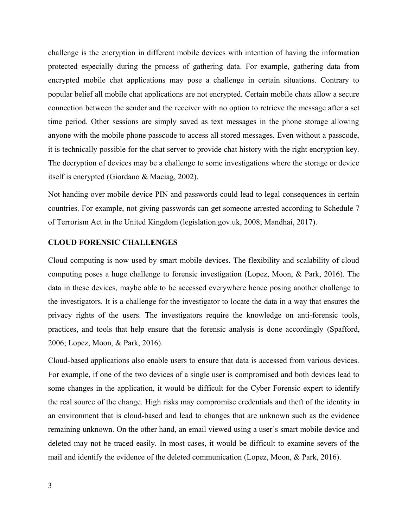challenge is the encryption in different mobile devices with intention of having the information protected especially during the process of gathering data. For example, gathering data from encrypted mobile chat applications may pose a challenge in certain situations. Contrary to popular belief all mobile chat applications are not encrypted. Certain mobile chats allow a secure connection between the sender and the receiver with no option to retrieve the message after a set time period. Other sessions are simply saved as text messages in the phone storage allowing anyone with the mobile phone passcode to access all stored messages. Even without a passcode, it is technically possible for the chat server to provide chat history with the right encryption key. The decryption of devices may be a challenge to some investigations where the storage or device itself is encrypted (Giordano & Maciag, 2002).

Not handing over mobile device PIN and passwords could lead to legal consequences in certain countries. For example, not giving passwords can get someone arrested according to Schedule 7 of Terrorism Act in the United Kingdom (legislation.gov.uk, 2008; Mandhai, 2017).

# **CLOUD FORENSIC CHALLENGES**

Cloud computing is now used by smart mobile devices. The flexibility and scalability of cloud computing poses a huge challenge to forensic investigation (Lopez, Moon, & Park, 2016). The data in these devices, maybe able to be accessed everywhere hence posing another challenge to the investigators. It is a challenge for the investigator to locate the data in a way that ensures the privacy rights of the users. The investigators require the knowledge on anti-forensic tools, practices, and tools that help ensure that the forensic analysis is done accordingly (Spafford, 2006; Lopez, Moon, & Park, 2016).

Cloud-based applications also enable users to ensure that data is accessed from various devices. For example, if one of the two devices of a single user is compromised and both devices lead to some changes in the application, it would be difficult for the Cyber Forensic expert to identify the real source of the change. High risks may compromise credentials and theft of the identity in an environment that is cloud-based and lead to changes that are unknown such as the evidence remaining unknown. On the other hand, an email viewed using a user's smart mobile device and deleted may not be traced easily. In most cases, it would be difficult to examine severs of the mail and identify the evidence of the deleted communication (Lopez, Moon, & Park, 2016).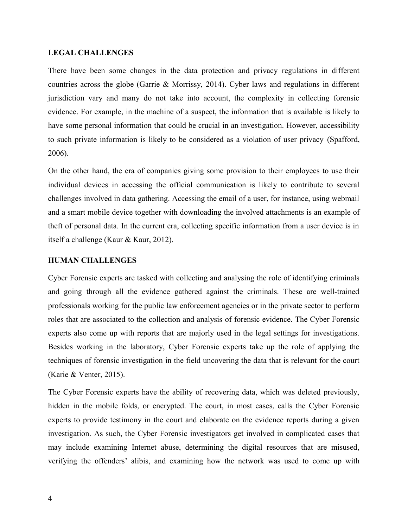#### **LEGAL CHALLENGES**

There have been some changes in the data protection and privacy regulations in different countries across the globe (Garrie & Morrissy, 2014). Cyber laws and regulations in different jurisdiction vary and many do not take into account, the complexity in collecting forensic evidence. For example, in the machine of a suspect, the information that is available is likely to have some personal information that could be crucial in an investigation. However, accessibility to such private information is likely to be considered as a violation of user privacy (Spafford, 2006).

On the other hand, the era of companies giving some provision to their employees to use their individual devices in accessing the official communication is likely to contribute to several challenges involved in data gathering. Accessing the email of a user, for instance, using webmail and a smart mobile device together with downloading the involved attachments is an example of theft of personal data. In the current era, collecting specific information from a user device is in itself a challenge (Kaur & Kaur, 2012).

#### **HUMAN CHALLENGES**

Cyber Forensic experts are tasked with collecting and analysing the role of identifying criminals and going through all the evidence gathered against the criminals. These are well-trained professionals working for the public law enforcement agencies or in the private sector to perform roles that are associated to the collection and analysis of forensic evidence. The Cyber Forensic experts also come up with reports that are majorly used in the legal settings for investigations. Besides working in the laboratory, Cyber Forensic experts take up the role of applying the techniques of forensic investigation in the field uncovering the data that is relevant for the court (Karie & Venter, 2015).

The Cyber Forensic experts have the ability of recovering data, which was deleted previously, hidden in the mobile folds, or encrypted. The court, in most cases, calls the Cyber Forensic experts to provide testimony in the court and elaborate on the evidence reports during a given investigation. As such, the Cyber Forensic investigators get involved in complicated cases that may include examining Internet abuse, determining the digital resources that are misused, verifying the offenders' alibis, and examining how the network was used to come up with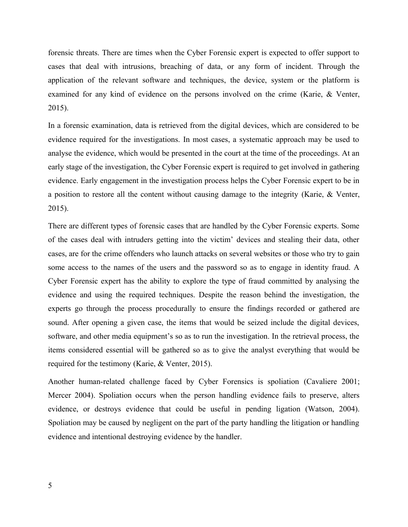forensic threats. There are times when the Cyber Forensic expert is expected to offer support to cases that deal with intrusions, breaching of data, or any form of incident. Through the application of the relevant software and techniques, the device, system or the platform is examined for any kind of evidence on the persons involved on the crime (Karie, & Venter, 2015).

In a forensic examination, data is retrieved from the digital devices, which are considered to be evidence required for the investigations. In most cases, a systematic approach may be used to analyse the evidence, which would be presented in the court at the time of the proceedings. At an early stage of the investigation, the Cyber Forensic expert is required to get involved in gathering evidence. Early engagement in the investigation process helps the Cyber Forensic expert to be in a position to restore all the content without causing damage to the integrity (Karie, & Venter, 2015).

There are different types of forensic cases that are handled by the Cyber Forensic experts. Some of the cases deal with intruders getting into the victim' devices and stealing their data, other cases, are for the crime offenders who launch attacks on several websites or those who try to gain some access to the names of the users and the password so as to engage in identity fraud. A Cyber Forensic expert has the ability to explore the type of fraud committed by analysing the evidence and using the required techniques. Despite the reason behind the investigation, the experts go through the process procedurally to ensure the findings recorded or gathered are sound. After opening a given case, the items that would be seized include the digital devices, software, and other media equipment's so as to run the investigation. In the retrieval process, the items considered essential will be gathered so as to give the analyst everything that would be required for the testimony (Karie, & Venter, 2015).

Another human-related challenge faced by Cyber Forensics is spoliation (Cavaliere 2001; Mercer 2004). Spoliation occurs when the person handling evidence fails to preserve, alters evidence, or destroys evidence that could be useful in pending ligation (Watson, 2004). Spoliation may be caused by negligent on the part of the party handling the litigation or handling evidence and intentional destroying evidence by the handler.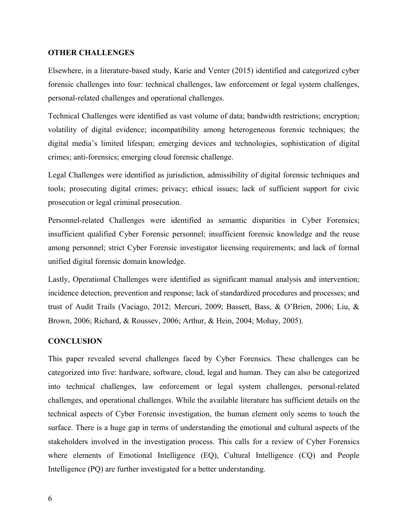#### **OTHER CHALLENGES**

Elsewhere, in a literature-based study, Karie and Venter (2015) identified and categorized cyber forensic challenges into four: technical challenges, law enforcement or legal system challenges, personal-related challenges and operational challenges.

Technical Challenges were identified as vast volume of data; bandwidth restrictions; encryption; volatility of digital evidence; incompatibility among heterogeneous forensic techniques; the digital media's limited lifespan; emerging devices and technologies, sophistication of digital crimes; anti-forensics; emerging cloud forensic challenge.

Legal Challenges were identified as jurisdiction, admissibility of digital forensic techniques and tools; prosecuting digital crimes; privacy; ethical issues; lack of sufficient support for civic prosecution or legal criminal prosecution.

Personnel-related Challenges were identified as semantic disparities in Cyber Forensics; insufficient qualified Cyber Forensic personnel; insufficient forensic knowledge and the reuse among personnel; strict Cyber Forensic investigator licensing requirements; and lack of formal unified digital forensic domain knowledge.

Lastly, Operational Challenges were identified as significant manual analysis and intervention; incidence detection, prevention and response; lack of standardized procedures and processes; and trust of Audit Trails (Vaciago, 2012; Mercuri, 2009; Bassett, Bass, & O'Brien, 2006; Liu, & Brown, 2006; Richard, & Roussev, 2006; Arthur, & Hein, 2004; Mohay, 2005).

#### **CONCLUSION**

This paper revealed several challenges faced by Cyber Forensics. These challenges can be categorized into five: hardware, software, cloud, legal and human. They can also be categorized into technical challenges, law enforcement or legal system challenges, personal-related challenges, and operational challenges. While the available literature has sufficient details on the technical aspects of Cyber Forensic investigation, the human element only seems to touch the surface. There is a huge gap in terms of understanding the emotional and cultural aspects of the stakeholders involved in the investigation process. This calls for a review of Cyber Forensics where elements of Emotional Intelligence (EQ), Cultural Intelligence (CQ) and People Intelligence (PQ) are further investigated for a better understanding.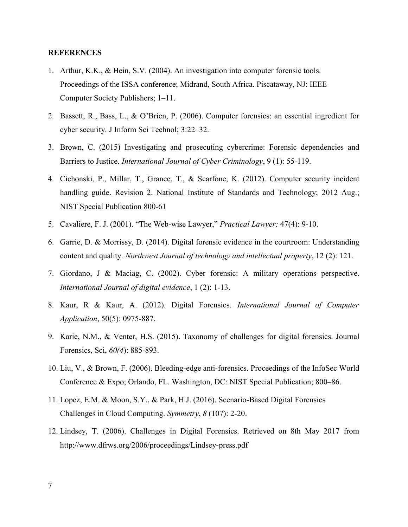# **REFERENCES**

- 1. Arthur, K.K., & Hein, S.V. (2004). An investigation into computer forensic tools. Proceedings of the ISSA conference; Midrand, South Africa. Piscataway, NJ: IEEE Computer Society Publishers; 1–11.
- 2. Bassett, R., Bass, L., & O'Brien, P. (2006). Computer forensics: an essential ingredient for cyber security. J Inform Sci Technol; 3:22–32.
- 3. Brown, C. (2015) Investigating and prosecuting cybercrime: Forensic dependencies and Barriers to Justice. *International Journal of Cyber Criminology*, 9 (1): 55-119.
- 4. Cichonski, P., Millar, T., Grance, T., & Scarfone, K. (2012). Computer security incident handling guide. Revision 2. National Institute of Standards and Technology; 2012 Aug.; NIST Special Publication 800-61
- 5. Cavaliere, F. J. (2001). "The Web-wise Lawyer," *Practical Lawyer;* 47(4): 9-10.
- 6. Garrie, D. & Morrissy, D. (2014). Digital forensic evidence in the courtroom: Understanding content and quality. *Northwest Journal of technology and intellectual property*, 12 (2): 121.
- 7. Giordano, J & Maciag, C. (2002). Cyber forensic: A military operations perspective. *International Journal of digital evidence*, 1 (2): 1-13.
- 8. Kaur, R & Kaur, A. (2012). Digital Forensics. *International Journal of Computer Application*, 50(5): 0975-887.
- 9. Karie, N.M., & Venter, H.S. (2015). Taxonomy of challenges for digital forensics. Journal Forensics, Sci, *60(4*): 885-893.
- 10. Liu, V., & Brown, F. (2006). Bleeding-edge anti-forensics. Proceedings of the InfoSec World Conference & Expo; Orlando, FL. Washington, DC: NIST Special Publication; 800–86.
- 11. Lopez, E.M. & Moon, S.Y., & Park, H.J. (2016). Scenario-Based Digital Forensics Challenges in Cloud Computing. *Symmetry*, *8* (107): 2-20.
- 12. Lindsey, T. (2006). Challenges in Digital Forensics. Retrieved on 8th May 2017 from http://www.dfrws.org/2006/proceedings/Lindsey-press.pdf